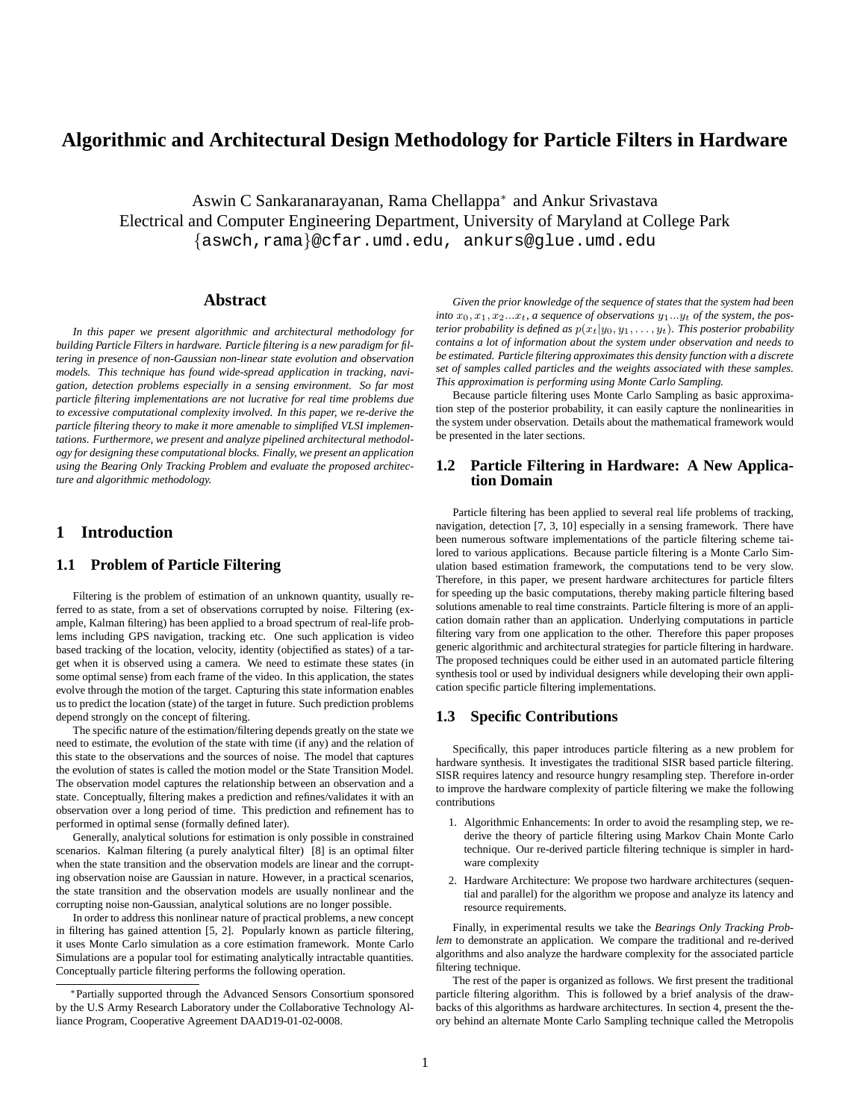# **Algorithmic and Architectural Design Methodology for Particle Filters in Hardware**

Aswin C Sankaranarayanan, Rama Chellappa<sup>∗</sup> and Ankur Srivastava Electrical and Computer Engineering Department, University of Maryland at College Park {aswch,rama}@cfar.umd.edu, ankurs@glue.umd.edu

### **Abstract**

*In this paper we present algorithmic and architectural methodology for building Particle Filters in hardware. Particle filtering is a new paradigm for filtering in presence of non-Gaussian non-linear state evolution and observation models. This technique has found wide-spread application in tracking, navigation, detection problems especially in a sensing environment. So far most particle filtering implementations are not lucrative for real time problems due to excessive computational complexity involved. In this paper, we re-derive the particle filtering theory to make it more amenable to simplified VLSI implementations. Furthermore, we present and analyze pipelined architectural methodology for designing these computational blocks. Finally, we present an application using the Bearing Only Tracking Problem and evaluate the proposed architecture and algorithmic methodology.*

## **1 Introduction**

### **1.1 Problem of Particle Filtering**

Filtering is the problem of estimation of an unknown quantity, usually referred to as state, from a set of observations corrupted by noise. Filtering (example, Kalman filtering) has been applied to a broad spectrum of real-life problems including GPS navigation, tracking etc. One such application is video based tracking of the location, velocity, identity (objectified as states) of a target when it is observed using a camera. We need to estimate these states (in some optimal sense) from each frame of the video. In this application, the states evolve through the motion of the target. Capturing this state information enables us to predict the location (state) of the target in future. Such prediction problems depend strongly on the concept of filtering.

The specific nature of the estimation/filtering depends greatly on the state we need to estimate, the evolution of the state with time (if any) and the relation of this state to the observations and the sources of noise. The model that captures the evolution of states is called the motion model or the State Transition Model. The observation model captures the relationship between an observation and a state. Conceptually, filtering makes a prediction and refines/validates it with an observation over a long period of time. This prediction and refinement has to performed in optimal sense (formally defined later).

Generally, analytical solutions for estimation is only possible in constrained scenarios. Kalman filtering (a purely analytical filter) [8] is an optimal filter when the state transition and the observation models are linear and the corrupting observation noise are Gaussian in nature. However, in a practical scenarios, the state transition and the observation models are usually nonlinear and the corrupting noise non-Gaussian, analytical solutions are no longer possible.

In order to address this nonlinear nature of practical problems, a new concept in filtering has gained attention [5, 2]. Popularly known as particle filtering, it uses Monte Carlo simulation as a core estimation framework. Monte Carlo Simulations are a popular tool for estimating analytically intractable quantities. Conceptually particle filtering performs the following operation.

*Given the prior knowledge of the sequence of states that the system had been into*  $x_0, x_1, x_2...x_t$ , *a sequence of observations*  $y_1...y_t$  *of the system, the posterior probability is defined as*  $p(x_t|y_0, y_1, \ldots, y_t)$ *. This posterior probability contains a lot of information about the system under observation and needs to be estimated. Particle filtering approximates this density function with a discrete set of samples called particles and the weights associated with these samples. This approximation is performing using Monte Carlo Sampling.*

Because particle filtering uses Monte Carlo Sampling as basic approximation step of the posterior probability, it can easily capture the nonlinearities in the system under observation. Details about the mathematical framework would be presented in the later sections.

#### **1.2 Particle Filtering in Hardware: A New Application Domain**

Particle filtering has been applied to several real life problems of tracking, navigation, detection [7, 3, 10] especially in a sensing framework. There have been numerous software implementations of the particle filtering scheme tailored to various applications. Because particle filtering is a Monte Carlo Simulation based estimation framework, the computations tend to be very slow. Therefore, in this paper, we present hardware architectures for particle filters for speeding up the basic computations, thereby making particle filtering based solutions amenable to real time constraints. Particle filtering is more of an application domain rather than an application. Underlying computations in particle filtering vary from one application to the other. Therefore this paper proposes generic algorithmic and architectural strategies for particle filtering in hardware. The proposed techniques could be either used in an automated particle filtering synthesis tool or used by individual designers while developing their own application specific particle filtering implementations.

#### **1.3 Specific Contributions**

Specifically, this paper introduces particle filtering as a new problem for hardware synthesis. It investigates the traditional SISR based particle filtering. SISR requires latency and resource hungry resampling step. Therefore in-order to improve the hardware complexity of particle filtering we make the following contributions

- 1. Algorithmic Enhancements: In order to avoid the resampling step, we rederive the theory of particle filtering using Markov Chain Monte Carlo technique. Our re-derived particle filtering technique is simpler in hardware complexity
- 2. Hardware Architecture: We propose two hardware architectures (sequential and parallel) for the algorithm we propose and analyze its latency and resource requirements.

Finally, in experimental results we take the *Bearings Only Tracking Problem* to demonstrate an application. We compare the traditional and re-derived algorithms and also analyze the hardware complexity for the associated particle filtering technique.

The rest of the paper is organized as follows. We first present the traditional particle filtering algorithm. This is followed by a brief analysis of the drawbacks of this algorithms as hardware architectures. In section 4, present the theory behind an alternate Monte Carlo Sampling technique called the Metropolis

<sup>∗</sup>Partially supported through the Advanced Sensors Consortium sponsored by the U.S Army Research Laboratory under the Collaborative Technology Alliance Program, Cooperative Agreement DAAD19-01-02-0008.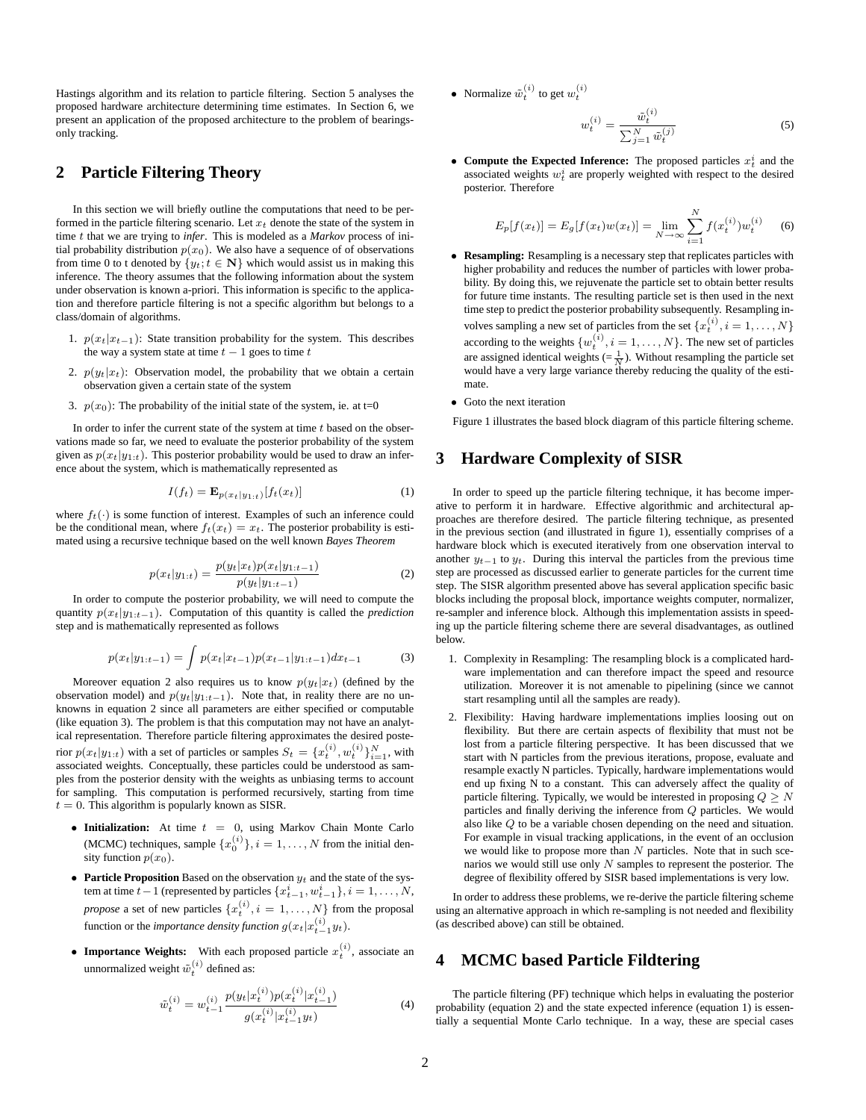Hastings algorithm and its relation to particle filtering. Section 5 analyses the proposed hardware architecture determining time estimates. In Section 6, we present an application of the proposed architecture to the problem of bearingsonly tracking.

## **2 Particle Filtering Theory**

In this section we will briefly outline the computations that need to be performed in the particle filtering scenario. Let  $x_t$  denote the state of the system in time t that we are trying to *infer*. This is modeled as a *Markov* process of initial probability distribution  $p(x_0)$ . We also have a sequence of of observations from time 0 to t denoted by  $\{y_t, t \in \mathbb{N}\}\$  which would assist us in making this inference. The theory assumes that the following information about the system under observation is known a-priori. This information is specific to the application and therefore particle filtering is not a specific algorithm but belongs to a class/domain of algorithms.

- 1.  $p(x_t|x_{t-1})$ : State transition probability for the system. This describes the way a system state at time  $t - 1$  goes to time  $t$
- 2.  $p(y_t|x_t)$ : Observation model, the probability that we obtain a certain observation given a certain state of the system
- 3.  $p(x_0)$ : The probability of the initial state of the system, ie. at t=0

In order to infer the current state of the system at time  $t$  based on the observations made so far, we need to evaluate the posterior probability of the system given as  $p(x_t|y_{1:t})$ . This posterior probability would be used to draw an inference about the system, which is mathematically represented as

$$
I(f_t) = \mathbf{E}_{p(x_t|y_{1:t})}[f_t(x_t)] \tag{1}
$$

where  $f_t(\cdot)$  is some function of interest. Examples of such an inference could be the conditional mean, where  $f_t(x_t) = x_t$ . The posterior probability is estimated using a recursive technique based on the well known *Bayes Theorem*

$$
p(x_t|y_{1:t}) = \frac{p(y_t|x_t)p(x_t|y_{1:t-1})}{p(y_t|y_{1:t-1})}
$$
\n(2)

In order to compute the posterior probability, we will need to compute the quantity p(xt|y1:t−1). Computation of this quantity is called the *prediction* step and is mathematically represented as follows

$$
p(x_t|y_{1:t-1}) = \int p(x_t|x_{t-1})p(x_{t-1}|y_{1:t-1})dx_{t-1}
$$
 (3)

Moreover equation 2 also requires us to know  $p(y_t|x_t)$  (defined by the observation model) and  $p(y_t|y_{1:t-1})$ . Note that, in reality there are no unknowns in equation 2 since all parameters are either specified or computable (like equation 3). The problem is that this computation may not have an analytical representation. Therefore particle filtering approximates the desired posterior  $p(x_t|y_{1:t})$  with a set of particles or samples  $S_t = \{x_t^{(i)}, w_t^{(i)}\}_{i=1}^N$ , with associated weights. Conceptually, these particles could be understood as samples from the posterior density with the weights as unbiasing terms to account for sampling. This computation is performed recursively, starting from time  $t = 0$ . This algorithm is popularly known as SISR.

- **Initialization:** At time  $t = 0$ , using Markov Chain Monte Carlo (MCMC) techniques, sample  $\{x_0^{(i)}\}, i = 1, \dots, N$  from the initial density function  $p(x_0)$ .
- **Particle Proposition** Based on the observation  $y_t$  and the state of the system at time  $t-1$  (represented by particles  $\{x_{t-1}^i, w_{t-1}^i\}, i=1,\ldots,N$ ,  $t-1, w_{t-1}$ *propose* a set of new particles  $\{x_t^{(i)}, i = 1, \ldots, N\}$  from the proposal function or the *importance density function*  $g(x_t|x_{t-1}^{(i)}y_t)$ .
- **Importance Weights:** With each proposed particle  $x_t^{(i)}$ , associate an unnormalized weight  $\tilde{w}_t^{(i)}$  defined as:

$$
\tilde{w}_t^{(i)} = w_{t-1}^{(i)} \frac{p(y_t | x_t^{(i)}) p(x_t^{(i)} | x_{t-1}^{(i)})}{g(x_t^{(i)} | x_{t-1}^{(i)} y_t)} \tag{4}
$$

• Normalize  $\tilde{w}_t^{(i)}$  to get  $w_t^{(i)}$ 

$$
w_t^{(i)} = \frac{\tilde{w}_t^{(i)}}{\sum_{j=1}^N \tilde{w}_t^{(j)}}
$$
(5)

• **Compute the Expected Inference:** The proposed particles  $x_t^i$  and the associated weights  $w_t^i$  are properly weighted with respect to the desired posterior. Therefore

$$
E_p[f(x_t)] = E_g[f(x_t)w(x_t)] = \lim_{N \to \infty} \sum_{i=1}^{N} f(x_t^{(i)})w_t^{(i)} \tag{6}
$$

- **Resampling:** Resampling is a necessary step that replicates particles with higher probability and reduces the number of particles with lower probability. By doing this, we rejuvenate the particle set to obtain better results for future time instants. The resulting particle set is then used in the next time step to predict the posterior probability subsequently. Resampling involves sampling a new set of particles from the set  $\{x_t^{(i)}, i = 1, \ldots, N\}$ according to the weights  $\{w_t^{(i)}, i = 1, ..., N\}$ . The new set of particles are assigned identical weights  $(\frac{1}{N})$ . Without resampling the particle set would have a very large variance thereby reducing the quality of the estimate.
- Goto the next iteration

Figure 1 illustrates the based block diagram of this particle filtering scheme.

### **3 Hardware Complexity of SISR**

In order to speed up the particle filtering technique, it has become imperative to perform it in hardware. Effective algorithmic and architectural approaches are therefore desired. The particle filtering technique, as presented in the previous section (and illustrated in figure 1), essentially comprises of a hardware block which is executed iteratively from one observation interval to another  $y_{t-1}$  to  $y_t$ . During this interval the particles from the previous time step are processed as discussed earlier to generate particles for the current time step. The SISR algorithm presented above has several application specific basic blocks including the proposal block, importance weights computer, normalizer, re-sampler and inference block. Although this implementation assists in speeding up the particle filtering scheme there are several disadvantages, as outlined below.

- 1. Complexity in Resampling: The resampling block is a complicated hardware implementation and can therefore impact the speed and resource utilization. Moreover it is not amenable to pipelining (since we cannot start resampling until all the samples are ready).
- 2. Flexibility: Having hardware implementations implies loosing out on flexibility. But there are certain aspects of flexibility that must not be lost from a particle filtering perspective. It has been discussed that we start with N particles from the previous iterations, propose, evaluate and resample exactly N particles. Typically, hardware implementations would end up fixing N to a constant. This can adversely affect the quality of particle filtering. Typically, we would be interested in proposing  $Q \geq N$ particles and finally deriving the inference from Q particles. We would also like Q to be a variable chosen depending on the need and situation. For example in visual tracking applications, in the event of an occlusion we would like to propose more than  $N$  particles. Note that in such scenarios we would still use only  $N$  samples to represent the posterior. The degree of flexibility offered by SISR based implementations is very low.

In order to address these problems, we re-derive the particle filtering scheme using an alternative approach in which re-sampling is not needed and flexibility (as described above) can still be obtained.

### **4 MCMC based Particle Fildtering**

The particle filtering (PF) technique which helps in evaluating the posterior probability (equation 2) and the state expected inference (equation 1) is essentially a sequential Monte Carlo technique. In a way, these are special cases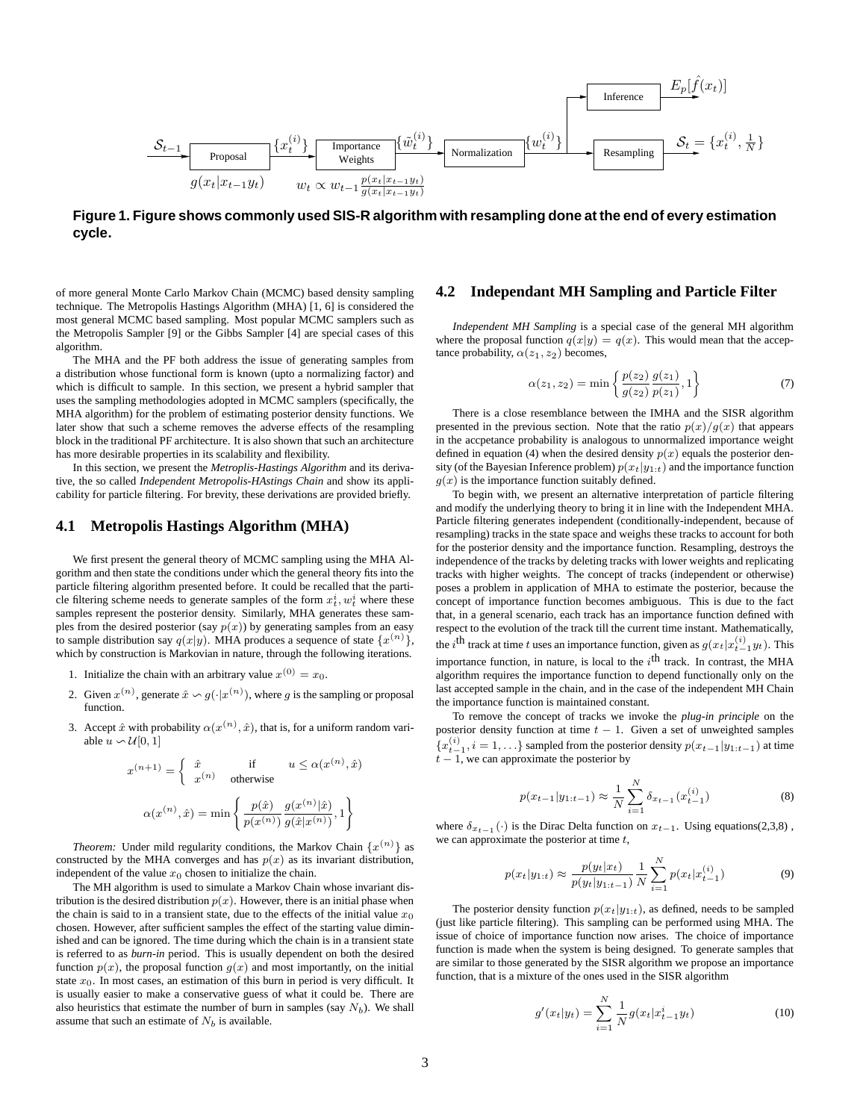

**Figure 1. Figure shows commonly used SIS-R algorithm with resampling done at the end of every estimation cycle.**

of more general Monte Carlo Markov Chain (MCMC) based density sampling technique. The Metropolis Hastings Algorithm (MHA) [1, 6] is considered the most general MCMC based sampling. Most popular MCMC samplers such as the Metropolis Sampler [9] or the Gibbs Sampler [4] are special cases of this algorithm.

The MHA and the PF both address the issue of generating samples from a distribution whose functional form is known (upto a normalizing factor) and which is difficult to sample. In this section, we present a hybrid sampler that uses the sampling methodologies adopted in MCMC samplers (specifically, the MHA algorithm) for the problem of estimating posterior density functions. We later show that such a scheme removes the adverse effects of the resampling block in the traditional PF architecture. It is also shown that such an architecture has more desirable properties in its scalability and flexibility.

In this section, we present the *Metroplis-Hastings Algorithm* and its derivative, the so called *Independent Metropolis-HAstings Chain* and show its applicability for particle filtering. For brevity, these derivations are provided briefly.

#### **4.1 Metropolis Hastings Algorithm (MHA)**

We first present the general theory of MCMC sampling using the MHA Algorithm and then state the conditions under which the general theory fits into the particle filtering algorithm presented before. It could be recalled that the particle filtering scheme needs to generate samples of the form  $x_t^i, w_t^i$  where these samples represent the posterior density. Similarly, MHA generates these samples from the desired posterior (say  $p(x)$ ) by generating samples from an easy to sample distribution say  $q(x|y)$ . MHA produces a sequence of state  $\{x^{(n)}\},$ which by construction is Markovian in nature, through the following iterations.

- 1. Initialize the chain with an arbitrary value  $x^{(0)} = x_0$ .
- 2. Given  $x^{(n)}$ , generate  $\hat{x} \backsim g(\cdot | x^{(n)})$ , where g is the sampling or proposal function.
- 3. Accept  $\hat{x}$  with probability  $\alpha(x^{(n)}, \hat{x})$ , that is, for a uniform random variable  $u \sim \mathcal{U}[0, 1]$

$$
x^{(n+1)} = \begin{cases} \hat{x} & \text{if } u \le \alpha(x^{(n)}, \hat{x}) \\ x^{(n)} & \text{otherwise} \end{cases}
$$

$$
\alpha(x^{(n)}, \hat{x}) = \min\left\{\frac{p(\hat{x})}{p(x^{(n)})} \frac{g(x^{(n)}|\hat{x})}{g(\hat{x}|x^{(n)})}, 1\right\}
$$

*Theorem:* Under mild regularity conditions, the Markov Chain  $\{x^{(n)}\}$  as constructed by the MHA converges and has  $p(x)$  as its invariant distribution, independent of the value  $x_0$  chosen to initialize the chain.

The MH algorithm is used to simulate a Markov Chain whose invariant distribution is the desired distribution  $p(x)$ . However, there is an initial phase when the chain is said to in a transient state, due to the effects of the initial value  $x_0$ chosen. However, after sufficient samples the effect of the starting value diminished and can be ignored. The time during which the chain is in a transient state is referred to as *burn-in* period. This is usually dependent on both the desired function  $p(x)$ , the proposal function  $q(x)$  and most importantly, on the initial state  $x_0$ . In most cases, an estimation of this burn in period is very difficult. It is usually easier to make a conservative guess of what it could be. There are also heuristics that estimate the number of burn in samples (say  $N_b$ ). We shall assume that such an estimate of  $N_b$  is available.

#### **4.2 Independant MH Sampling and Particle Filter**

*Independent MH Sampling* is a special case of the general MH algorithm where the proposal function  $q(x|y) = q(x)$ . This would mean that the acceptance probability,  $\alpha(z_1, z_2)$  becomes,

$$
\alpha(z_1, z_2) = \min\left\{\frac{p(z_2)}{g(z_2)} \frac{g(z_1)}{p(z_1)}, 1\right\}
$$
 (7)

There is a close resemblance between the IMHA and the SISR algorithm presented in the previous section. Note that the ratio  $p(x)/g(x)$  that appears in the accpetance probability is analogous to unnormalized importance weight defined in equation (4) when the desired density  $p(x)$  equals the posterior density (of the Bayesian Inference problem)  $p(x_t|y_{1:t})$  and the importance function  $g(x)$  is the importance function suitably defined.

To begin with, we present an alternative interpretation of particle filtering and modify the underlying theory to bring it in line with the Independent MHA. Particle filtering generates independent (conditionally-independent, because of resampling) tracks in the state space and weighs these tracks to account for both for the posterior density and the importance function. Resampling, destroys the independence of the tracks by deleting tracks with lower weights and replicating tracks with higher weights. The concept of tracks (independent or otherwise) poses a problem in application of MHA to estimate the posterior, because the concept of importance function becomes ambiguous. This is due to the fact that, in a general scenario, each track has an importance function defined with respect to the evolution of the track till the current time instant. Mathematically, the *i*<sup>th</sup> track at time *t* uses an importance function, given as  $g(x_t|x_{t-1}^{(i)}y_t)$ . This importance function, in nature, is local to the  $i^{\text{th}}$  track. In contrast, the MHA algorithm requires the importance function to depend functionally only on the last accepted sample in the chain, and in the case of the independent MH Chain the importance function is maintained constant.

To remove the concept of tracks we invoke the *plug-in principle* on the posterior density function at time  $t - 1$ . Given a set of unweighted samples  ${x_{t-1}^{(i)}, i = 1, ...}$  sampled from the posterior density  $p(x_{t-1}|y_{1:t-1})$  at time  $t - 1$ , we can approximate the posterior by

$$
p(x_{t-1}|y_{1:t-1}) \approx \frac{1}{N} \sum_{i=1}^{N} \delta_{x_{t-1}}(x_{t-1}^{(i)})
$$
\n(8)

where  $\delta_{x_{t-1}}(\cdot)$  is the Dirac Delta function on  $x_{t-1}$ . Using equations(2,3,8), we can approximate the posterior at time  $t$ ,

$$
p(x_t|y_{1:t}) \approx \frac{p(y_t|x_t)}{p(y_t|y_{1:t-1})} \frac{1}{N} \sum_{i=1}^N p(x_t|x_{t-1}^{(i)})
$$
(9)

The posterior density function  $p(x_t|y_{1:t})$ , as defined, needs to be sampled (just like particle filtering). This sampling can be performed using MHA. The issue of choice of importance function now arises. The choice of importance function is made when the system is being designed. To generate samples that are similar to those generated by the SISR algorithm we propose an importance function, that is a mixture of the ones used in the SISR algorithm

$$
g'(x_t|y_t) = \sum_{i=1}^{N} \frac{1}{N} g(x_t|x_{t-1}^i y_t)
$$
\n(10)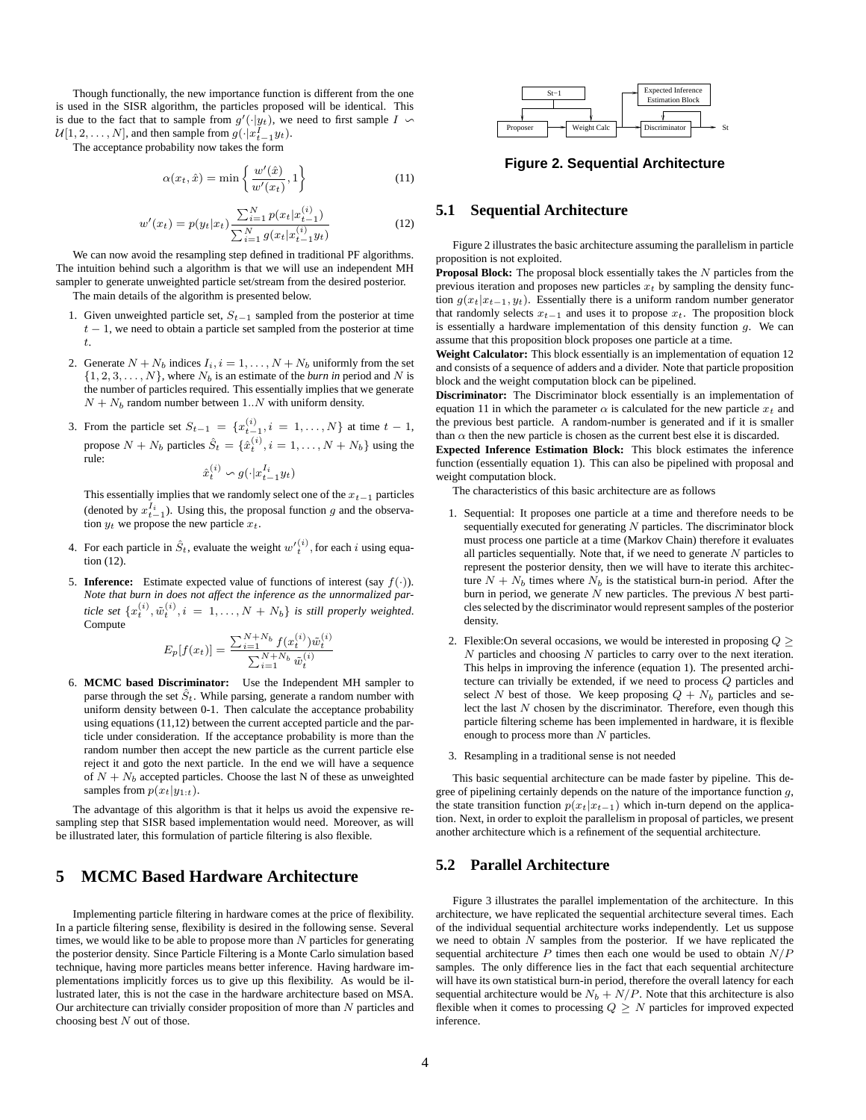Though functionally, the new importance function is different from the one is used in the SISR algorithm, the particles proposed will be identical. This is due to the fact that to sample from  $g'(\cdot|\psi_t)$ , we need to first sample  $I \backsim$  $\mathcal{U}[1, 2, \dots, N]$ , and then sample from  $g(\cdot | x_{t-1}^I y_t)$ .

The acceptance probability now takes the form

$$
\alpha(x_t, \hat{x}) = \min\left\{\frac{w'(\hat{x})}{w'(x_t)}, 1\right\} \tag{11}
$$

$$
w'(x_t) = p(y_t|x_t) \frac{\sum_{i=1}^{N} p(x_t|x_{t-i}^{(i)})}{\sum_{i=1}^{N} g(x_t|x_{t-1}^{(i)})y_t}
$$
(12)

We can now avoid the resampling step defined in traditional PF algorithms. The intuition behind such a algorithm is that we will use an independent MH sampler to generate unweighted particle set/stream from the desired posterior. The main details of the algorithm is presented below.

- 1. Given unweighted particle set,  $S_{t-1}$  sampled from the posterior at time  $t - 1$ , we need to obtain a particle set sampled from the posterior at time t.
- 2. Generate  $N + N_b$  indices  $I_i, i = 1, ..., N + N_b$  uniformly from the set  $\{1, 2, 3, \ldots, N\}$ , where  $N_b$  is an estimate of the *burn in* period and N is the number of particles required. This essentially implies that we generate  $N + N_b$  random number between 1..N with uniform density.
- 3. From the particle set  $S_{t-1} = \{x_{t-1}^{(i)}, i = 1, ..., N\}$  at time  $t-1$ , propose  $N + N_b$  particles  $\hat{S}_t = \{\hat{x}_t^{(i)}, i = 1, ..., N + N_b\}$  using the rule:

$$
\hat{x}_t^{(i)} \backsim g(\cdot | x_{t-1}^{I_i} y_t)
$$

This essentially implies that we randomly select one of the  $x_{t-1}$  particles (denoted by  $x_{t-1}^{I_i}$ ). Using this, the proposal function g and the observation  $y_t$  we propose the new particle  $x_t$ .

- 4. For each particle in  $\hat{S}_t$ , evaluate the weight  $w_t^{(i)}$ , for each i using equation (12).
- 5. **Inference:** Estimate expected value of functions of interest (say  $f(.)$ ). *Note that burn in does not affect the inference as the unnormalized particle* set  $\{x_t^{(i)}, \tilde{w}_t^{(i)}, i = 1, \ldots, N + N_b\}$  *is still properly weighted.* Compute

$$
E_p[f(x_t)] = \frac{\sum_{i=1}^{N+N_b} f(x_t^{(i)}) \tilde{w}_t^{(i)}}{\sum_{i=1}^{N+N_b} \tilde{w}_t^{(i)}}
$$

6. **MCMC based Discriminator:** Use the Independent MH sampler to parse through the set  $\hat{S}_t$ . While parsing, generate a random number with uniform density between 0-1. Then calculate the acceptance probability using equations (11,12) between the current accepted particle and the particle under consideration. If the acceptance probability is more than the random number then accept the new particle as the current particle else reject it and goto the next particle. In the end we will have a sequence of  $N + N_b$  accepted particles. Choose the last N of these as unweighted samples from  $p(x_t|y_{1:t})$ .

The advantage of this algorithm is that it helps us avoid the expensive resampling step that SISR based implementation would need. Moreover, as will be illustrated later, this formulation of particle filtering is also flexible.

### **5 MCMC Based Hardware Architecture**

Implementing particle filtering in hardware comes at the price of flexibility. In a particle filtering sense, flexibility is desired in the following sense. Several times, we would like to be able to propose more than  $N$  particles for generating the posterior density. Since Particle Filtering is a Monte Carlo simulation based technique, having more particles means better inference. Having hardware implementations implicitly forces us to give up this flexibility. As would be illustrated later, this is not the case in the hardware architecture based on MSA. Our architecture can trivially consider proposition of more than  $N$  particles and choosing best  $N$  out of those.



**Figure 2. Sequential Architecture**

#### **5.1 Sequential Architecture**

Figure 2 illustrates the basic architecture assuming the parallelism in particle proposition is not exploited.

**Proposal Block:** The proposal block essentially takes the N particles from the previous iteration and proposes new particles  $x_t$  by sampling the density function  $g(x_t|x_{t-1}, y_t)$ . Essentially there is a uniform random number generator that randomly selects  $x_{t-1}$  and uses it to propose  $x_t$ . The proposition block is essentially a hardware implementation of this density function  $g$ . We can assume that this proposition block proposes one particle at a time.

**Weight Calculator:** This block essentially is an implementation of equation 12 and consists of a sequence of adders and a divider. Note that particle proposition block and the weight computation block can be pipelined.

**Discriminator:** The Discriminator block essentially is an implementation of equation 11 in which the parameter  $\alpha$  is calculated for the new particle  $x_t$  and the previous best particle. A random-number is generated and if it is smaller than  $\alpha$  then the new particle is chosen as the current best else it is discarded.

**Expected Inference Estimation Block:** This block estimates the inference function (essentially equation 1). This can also be pipelined with proposal and weight computation block.

The characteristics of this basic architecture are as follows

- 1. Sequential: It proposes one particle at a time and therefore needs to be sequentially executed for generating  $N$  particles. The discriminator block must process one particle at a time (Markov Chain) therefore it evaluates all particles sequentially. Note that, if we need to generate  $N$  particles to represent the posterior density, then we will have to iterate this architecture  $N + N_b$  times where  $N_b$  is the statistical burn-in period. After the burn in period, we generate  $N$  new particles. The previous  $N$  best particles selected by the discriminator would represent samples of the posterior density.
- 2. Flexible: On several occasions, we would be interested in proposing  $Q \geq$  $N$  particles and choosing  $N$  particles to carry over to the next iteration. This helps in improving the inference (equation 1). The presented architecture can trivially be extended, if we need to process Q particles and select N best of those. We keep proposing  $Q + N_b$  particles and select the last N chosen by the discriminator. Therefore, even though this particle filtering scheme has been implemented in hardware, it is flexible enough to process more than N particles.

#### 3. Resampling in a traditional sense is not needed

This basic sequential architecture can be made faster by pipeline. This degree of pipelining certainly depends on the nature of the importance function  $g$ , the state transition function  $p(x_t|x_{t-1})$  which in-turn depend on the application. Next, in order to exploit the parallelism in proposal of particles, we present another architecture which is a refinement of the sequential architecture.

#### **5.2 Parallel Architecture**

Figure 3 illustrates the parallel implementation of the architecture. In this architecture, we have replicated the sequential architecture several times. Each of the individual sequential architecture works independently. Let us suppose we need to obtain  $N$  samples from the posterior. If we have replicated the sequential architecture  $P$  times then each one would be used to obtain  $N/P$ samples. The only difference lies in the fact that each sequential architecture will have its own statistical burn-in period, therefore the overall latency for each sequential architecture would be  $N_b + N/P$ . Note that this architecture is also flexible when it comes to processing  $Q \geq N$  particles for improved expected inference.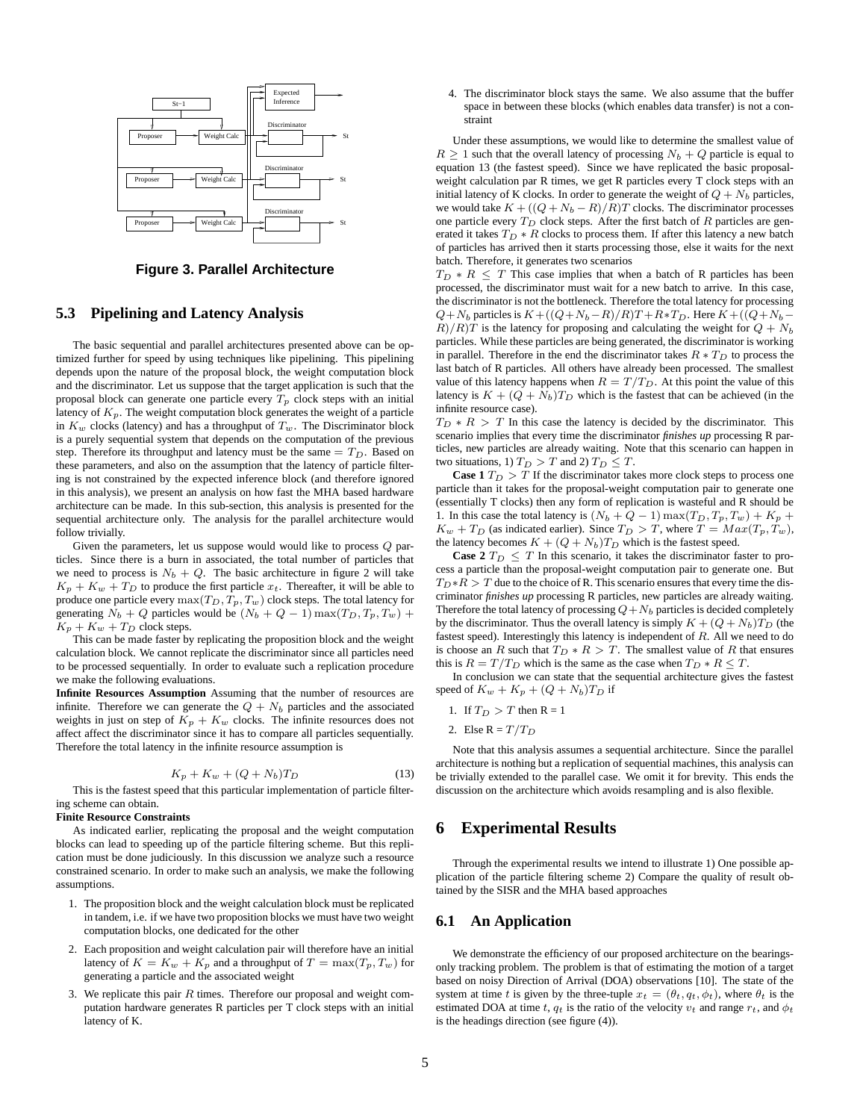

**Figure 3. Parallel Architecture**

#### **5.3 Pipelining and Latency Analysis**

The basic sequential and parallel architectures presented above can be optimized further for speed by using techniques like pipelining. This pipelining depends upon the nature of the proposal block, the weight computation block and the discriminator. Let us suppose that the target application is such that the proposal block can generate one particle every  $T_p$  clock steps with an initial latency of  $K_p$ . The weight computation block generates the weight of a particle in  $K_w$  clocks (latency) and has a throughput of  $T_w$ . The Discriminator block is a purely sequential system that depends on the computation of the previous step. Therefore its throughput and latency must be the same  $=T_D$ . Based on these parameters, and also on the assumption that the latency of particle filtering is not constrained by the expected inference block (and therefore ignored in this analysis), we present an analysis on how fast the MHA based hardware architecture can be made. In this sub-section, this analysis is presented for the sequential architecture only. The analysis for the parallel architecture would follow trivially.

Given the parameters, let us suppose would would like to process  $Q$  particles. Since there is a burn in associated, the total number of particles that we need to process is  $N_b + Q$ . The basic architecture in figure 2 will take  $K_p + K_w + T_D$  to produce the first particle  $x_t$ . Thereafter, it will be able to produce one particle every  $\max(T_D, T_p, T_w)$  clock steps. The total latency for generating  $N_b + Q$  particles would be  $(N_b + Q - 1)$  max $(T_D, T_p, T_w)$  +  $K_p + K_w + T_D$  clock steps.

This can be made faster by replicating the proposition block and the weight calculation block. We cannot replicate the discriminator since all particles need to be processed sequentially. In order to evaluate such a replication procedure we make the following evaluations.

**Infinite Resources Assumption** Assuming that the number of resources are infinite. Therefore we can generate the  $Q + N_b$  particles and the associated weights in just on step of  $K_p + K_w$  clocks. The infinite resources does not affect affect the discriminator since it has to compare all particles sequentially. Therefore the total latency in the infinite resource assumption is

$$
K_p + K_w + (Q + N_b)T_D \tag{13}
$$

This is the fastest speed that this particular implementation of particle filtering scheme can obtain.

#### **Finite Resource Constraints**

As indicated earlier, replicating the proposal and the weight computation blocks can lead to speeding up of the particle filtering scheme. But this replication must be done judiciously. In this discussion we analyze such a resource constrained scenario. In order to make such an analysis, we make the following assumptions.

- 1. The proposition block and the weight calculation block must be replicated in tandem, i.e. if we have two proposition blocks we must have two weight computation blocks, one dedicated for the other
- 2. Each proposition and weight calculation pair will therefore have an initial latency of  $K = K_w + K_p$  and a throughput of  $T = \max(T_p, T_w)$  for generating a particle and the associated weight
- 3. We replicate this pair  $R$  times. Therefore our proposal and weight computation hardware generates R particles per T clock steps with an initial latency of K.

4. The discriminator block stays the same. We also assume that the buffer space in between these blocks (which enables data transfer) is not a constraint

Under these assumptions, we would like to determine the smallest value of  $R \geq 1$  such that the overall latency of processing  $N_b + Q$  particle is equal to equation 13 (the fastest speed). Since we have replicated the basic proposalweight calculation par R times, we get R particles every T clock steps with an initial latency of K clocks. In order to generate the weight of  $Q + N_b$  particles, we would take  $K + ((Q + N_b - R)/R)T$  clocks. The discriminator processes one particle every  $T_D$  clock steps. After the first batch of  $R$  particles are generated it takes  $T_D * R$  clocks to process them. If after this latency a new batch of particles has arrived then it starts processing those, else it waits for the next batch. Therefore, it generates two scenarios

 $T_D * R \leq T$  This case implies that when a batch of R particles has been processed, the discriminator must wait for a new batch to arrive. In this case, the discriminator is not the bottleneck. Therefore the total latency for processing  $Q+N_b$  particles is  $K+((Q+N_b-R)/R)T + R*T_D$ . Here  $K+((Q+N_b-P)/R)T + R*T_D$  $R)/R$ T is the latency for proposing and calculating the weight for  $Q + N_b$ particles. While these particles are being generated, the discriminator is working in parallel. Therefore in the end the discriminator takes  $R * T_D$  to process the last batch of R particles. All others have already been processed. The smallest value of this latency happens when  $R = T/T_D$ . At this point the value of this latency is  $K + (Q + N_b)T_D$  which is the fastest that can be achieved (in the infinite resource case).

 $T_D * R > T$  In this case the latency is decided by the discriminator. This scenario implies that every time the discriminator *finishes up* processing R particles, new particles are already waiting. Note that this scenario can happen in two situations, 1)  $T_D > T$  and 2)  $T_D \leq T$ .

**Case 1**  $T_D > T$  If the discriminator takes more clock steps to process one particle than it takes for the proposal-weight computation pair to generate one (essentially T clocks) then any form of replication is wasteful and R should be 1. In this case the total latency is  $(N_b + Q - 1)$  max $(T_D, T_p, T_w) + K_p +$  $K_w + T_D$  (as indicated earlier). Since  $T_D > T$ , where  $T = Max(T_p, T_w)$ , the latency becomes  $K + (Q + N_b)T_D$  which is the fastest speed.

**Case 2**  $T_D \leq T$  In this scenario, it takes the discriminator faster to process a particle than the proposal-weight computation pair to generate one. But  $T_D * R > T$  due to the choice of R. This scenario ensures that every time the discriminator *finishes up* processing R particles, new particles are already waiting. Therefore the total latency of processing  $Q+N_b$  particles is decided completely by the discriminator. Thus the overall latency is simply  $K + (Q + N_b)T_D$  (the fastest speed). Interestingly this latency is independent of  $R$ . All we need to do is choose an R such that  $T_D * R > T$ . The smallest value of R that ensures this is  $R = T/T_D$  which is the same as the case when  $T_D * R \leq T$ .

In conclusion we can state that the sequential architecture gives the fastest speed of  $K_w + K_p + (Q + N_b)T_D$  if

- 1. If  $T_D > T$  then  $R = 1$
- 2. Else R =  $T/T_D$

Note that this analysis assumes a sequential architecture. Since the parallel architecture is nothing but a replication of sequential machines, this analysis can be trivially extended to the parallel case. We omit it for brevity. This ends the discussion on the architecture which avoids resampling and is also flexible.

#### **6 Experimental Results**

Through the experimental results we intend to illustrate 1) One possible application of the particle filtering scheme 2) Compare the quality of result obtained by the SISR and the MHA based approaches

#### **6.1 An Application**

We demonstrate the efficiency of our proposed architecture on the bearingsonly tracking problem. The problem is that of estimating the motion of a target based on noisy Direction of Arrival (DOA) observations [10]. The state of the system at time t is given by the three-tuple  $x_t = (\theta_t, q_t, \phi_t)$ , where  $\theta_t$  is the estimated DOA at time t,  $q_t$  is the ratio of the velocity  $v_t$  and range  $r_t$ , and  $\phi_t$ is the headings direction (see figure (4)).